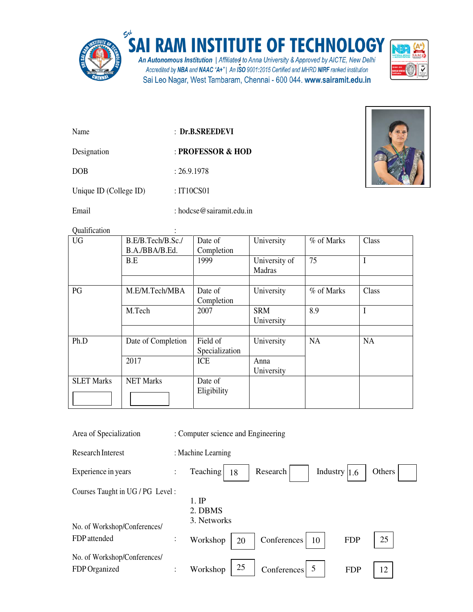

## $\sum_{n}^{\epsilon_{\text{c}}^{*}}$ SAI RAM INSTITUTE OF TECHNOLOGY

An Autonomous Institution | Affiliated to Anna University & Approved by AICTE, New Delhi<br>Accredited by NBA and NAAC "A+" | An ISO 9001:2015 Certified and MHRD NIRF ranked institution Sai Leo Nagar, West Tambaram, Chennai - 600 044. www.sairamit.edu.in



| Name                   | : Dr.B.SREEDEVI   |  |  |
|------------------------|-------------------|--|--|
| Designation            | : PROFESSOR & HOD |  |  |
| <b>DOB</b>             | : 26.9.1978       |  |  |
| Unique ID (College ID) | :IT10CSO1         |  |  |

Email : hodcse@sairamit.edu.in



Qualification :

| Quanncation       |                                     |                            |                          |            |           |
|-------------------|-------------------------------------|----------------------------|--------------------------|------------|-----------|
| <b>UG</b>         | B.E/B.Tech/B.Sc./<br>B.A./BBA/B.Ed. | Date of<br>Completion      | University               | % of Marks | Class     |
|                   | B.E                                 | 1999                       | University of<br>Madras  | 75         | I         |
|                   |                                     |                            |                          |            |           |
| PG                | M.E/M.Tech/MBA                      | Date of<br>Completion      | University               | % of Marks | Class     |
|                   | M.Tech                              | 2007                       | <b>SRM</b><br>University | 8.9        | I         |
|                   |                                     |                            |                          |            |           |
| Ph.D              | Date of Completion                  | Field of<br>Specialization | University               | NA         | <b>NA</b> |
|                   | 2017                                | ICE                        | Anna<br>University       |            |           |
| <b>SLET Marks</b> | <b>NET Marks</b>                    | Date of<br>Eligibility     |                          |            |           |

| Area of Specialization                        | : Computer science and Engineering |                                                         |  |  |
|-----------------------------------------------|------------------------------------|---------------------------------------------------------|--|--|
| Research Interest                             |                                    | : Machine Learning                                      |  |  |
| Experience in years                           | $\ddot{\cdot}$                     | Industry $1.6$<br>Teaching<br>Research<br>Others<br>18  |  |  |
| Courses Taught in UG / PG Level:              |                                    | $1.$ IP<br>2. DBMS                                      |  |  |
| No. of Workshop/Conferences/                  |                                    | 3. Networks                                             |  |  |
| FDP attended                                  | $\ddot{\cdot}$                     | 25<br>Conferences<br>10<br>Workshop<br><b>FDP</b><br>20 |  |  |
| No. of Workshop/Conferences/<br>FDP Organized | $\ddot{\cdot}$                     | 25<br>Conferences 5<br>Workshop<br><b>FDP</b><br>12     |  |  |